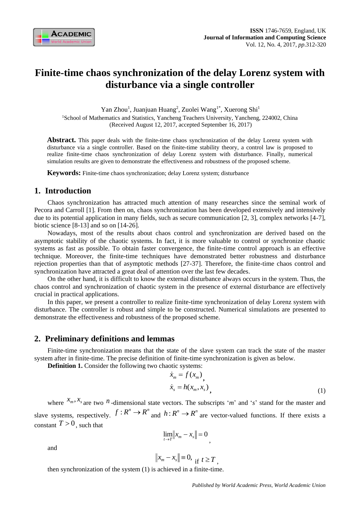

# **Finite-time chaos synchronization of the delay Lorenz system with disturbance via a single controller**

Yan Zhou<sup>1</sup>, Juanjuan Huang<sup>2</sup>, Zuolei Wang<sup>1\*</sup>, Xuerong Shi<sup>1</sup>

<sup>1</sup>School of Mathematics and Statistics, Yancheng Teachers University, Yancheng, 224002, China (Received August 12, 2017, accepted September 16, 2017)

Abstract. This paper deals with the finite-time chaos synchronization of the delay Lorenz system with disturbance via a single controller. Based on the finite-time stability theory, a control law is proposed to realize finite-time chaos synchronization of delay Lorenz system with disturbance. Finally, numerical simulation results are given to demonstrate the effectiveness and robustness of the proposed scheme.

**Keywords:** Finite-time chaos synchronization; delay Lorenz system; disturbance

# **1. Introduction**

Chaos synchronization has attracted much attention of many researches since the seminal work of Pecora and Carroll [1]. From then on, chaos synchronization has been developed extensively and intensively due to its potential application in many fields, such as secure communication [2, 3], complex networks [4-7], biotic science [8-13] and so on [14-26].

Nowadays, most of the results about chaos control and synchronization are derived based on the asymptotic stability of the chaotic systems. In fact, it is more valuable to control or synchronize chaotic systems as fast as possible. To obtain faster convergence, the finite-time control approach is an effective technique. Moreover, the finite-time techniques have demonstrated better robustness and disturbance rejection properties than that of asymptotic methods [27-37]. Therefore, the finite-time chaos control and synchronization have attracted a great deal of attention over the last few decades.

On the other hand, it is difficult to know the external disturbance always occurs in the system. Thus, the chaos control and synchronization of chaotic system in the presence of external disturbance are effectively crucial in practical applications.

In this paper, we present a controller to realize finite-time synchronization of delay Lorenz system with disturbance. The controller is robust and simple to be constructed. Numerical simulations are presented to demonstrate the effectiveness and robustness of the proposed scheme.

## **2. Preliminary definitions and lemmas**

Finite-time synchronization means that the state of the slave system can track the state of the master system after in finite-time. The precise definition of finite-time synchronization is given as below.

**Definition 1.** Consider the following two chaotic systems:

$$
\dot{x}_m = f(x_m),
$$
\n
$$
\dot{x}_s = h(x_m, x_s),
$$
\n(1)

where  $x_m$ ,  $x_s$  are two *n* -dimensional state vectors. The subscripts '*m*' and '*s*' stand for the master and slave systems, respectively.  $f: R^n \to R^n$  and  $h: R^n \to R^n$  are vector-valued functions. If there exists a constant  $T > 0$ , such that

$$
\lim_{t\to T}\lVert x_m-x_s\rVert=0
$$

and

$$
||x_m - x_s|| = 0, \text{ if } t \geq T,
$$

then synchronization of the system (1) is achieved in a finite-time.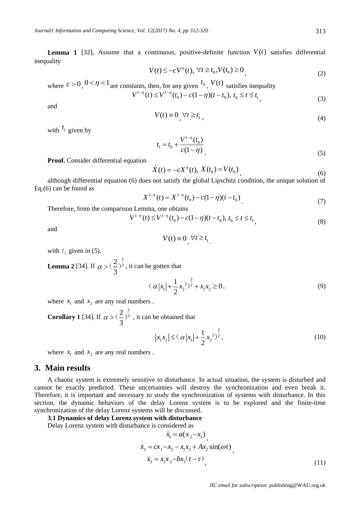**Lemma 1** [32]. Assume that a continuous, positive-definite function  $V(t)$  satisfies differential inequality

$$
\dot{V}(t) \le -cV^{\eta}(t), \ \forall t \ge t_0, V(t_0) \ge 0
$$
\n<sup>(2)</sup>

where  $c > 0$ ,  $0 < \eta < 1$  are constants, then, for any given  $t_0$ ,  $V(t)$  satisfies inequality  $V^{1-\eta}(t) \leq V^{1-\eta}(t_0) - c(1-\eta)(t-t_0), t_0 \leq t \leq t_1$ <sub>1</sub> (3)

and

$$
V(t) \equiv 0, \forall t \ge t_1,
$$
\n<sup>(4)</sup>

with  $t_1$  given by

$$
t_1 = t_0 + \frac{V^{1-\eta}(t_0)}{c(1-\eta)}\tag{5}
$$

**Proof.** Consider differential equation

$$
\dot{X}(t) = -cX^{\eta}(t), \, X(t_0) = V(t_0), \tag{6}
$$

although differential equation (6) does not satisfy the global Lipschitz condition, the unique solution of Eq.(6) can be found as

$$
X^{1-\eta}(t) = X^{1-\eta}(t_0) - c(1-\eta)(t-t_0)
$$
\n<sup>(7)</sup>

Therefore, from the comparison Lemma, one obtains

$$
V^{1-\eta}(t) \le V^{1-\eta}(t_0) - c(1-\eta)(t-t_0), \ t_0 \le t \le t_1
$$
\n<sup>(8)</sup>

.

and

$$
V(t) \equiv 0, \forall t \ge t_1
$$

with  $t_1$  given in (5).

**Lemma 2** [34]. If 2  $2\frac{2}{\sqrt{3}}$ 3  $\alpha$  > ( $\zeta$ )<sup>3</sup>, it can be gotten that

$$
(\alpha |x_1| + \frac{1}{2}x_2^2)^{\frac{3}{2}} + x_1 x_2 \ge 0,
$$
\n(9)

where  $x_1$  and  $x_2$  are any real numbers.

**Corollary 1** [34]. If 2  $2\frac{2}{\sqrt{3}}$ 3  $\alpha > (1)^3$ , it can be obtained that

$$
|x_1 x_2| \leq (\alpha |x_1| + \frac{1}{2} x_2^{2})^{\frac{3}{2}}, \tag{10}
$$

where  $x_1$  and  $x_2$  are any real numbers.

# **3. Main results**

A chaotic system is extremely sensitive to disturbance. In actual situation, the system is disturbed and cannot be exactly predicted. These uncertainties will destroy the synchronization and even break it. Therefore, it is important and necessary to study the synchronization of systems with disturbance. In this section, the dynamic behaviors of the delay Lorenz system is to be explored and the finite-time synchronization of the delay Lorenz systems will be discussed.

#### **3.1 Dynamics of delay Lorenz system with disturbance**

Delay Lorenz system with disturbance is considered as

$$
\dot{x}_1 = a(x_2 - x_1) \n\dot{x}_2 = cx_1 - x_2 - x_1x_3 + Ax_2 \sin(\omega t) \n\dot{x}_3 = x_1x_2 - bx_3(t - \tau) \n(11)
$$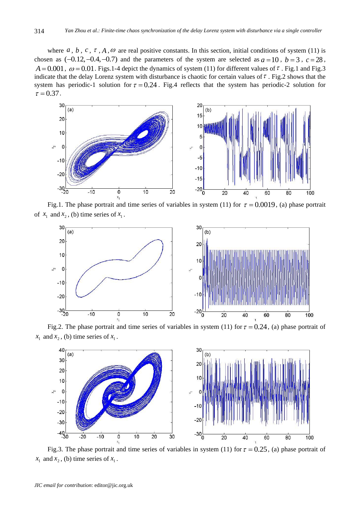where  $a, b, c, \tau, A, \omega$  are real positive constants. In this section, initial conditions of system (11) is chosen as  $(-0.12, -0.4, -0.7)$  and the parameters of the system are selected as  $a = 10$ ,  $b = 3$ ,  $c = 28$ ,  $A = 0.001$ ,  $\omega = 0.01$ . Figs.1-4 depict the dynamics of system (11) for different values of  $\tau$ . Fig.1 and Fig.3 indicate that the delay Lorenz system with disturbance is chaotic for certain values of  $\tau$ . Fig.2 shows that the system has periodic-1 solution for  $\tau = 0.24$ . Fig.4 reflects that the system has periodic-2 solution for  $\tau = 0.37$ .



Fig.1. The phase portrait and time series of variables in system (11) for  $\tau = 0.0019$ , (a) phase portrait of  $x_1$  and  $x_2$ , (b) time series of  $x_1$ .



Fig.2. The phase portrait and time series of variables in system (11) for  $\tau = 0.24$ , (a) phase portrait of  $x_1$  and  $x_2$ , (b) time series of  $x_1$ .



Fig.3. The phase portrait and time series of variables in system (11) for  $\tau = 0.25$ , (a) phase portrait of  $x_1$  and  $x_2$ , (b) time series of  $x_1$ .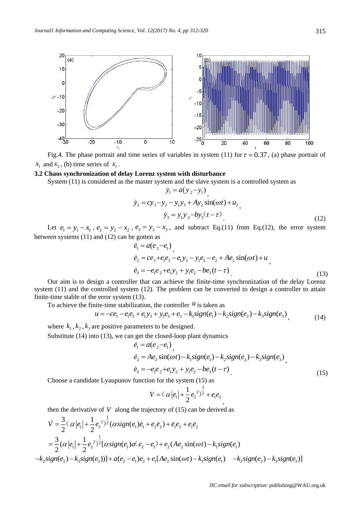

Fig.4. The phase portrait and time series of variables in system (11) for  $\tau = 0.37$ , (a) phase portrait of  $x_1$  and  $x_2$ , (b) time series of  $x_1$ .

#### **3.2 Chaos synchronization of delay Lorenz system with disturbance**

System (11) is considered as the master system and the slave system is a controlled system as

$$
\dot{y}_1 = a(y_2 - y_1) \n\dot{y}_2 = cy_1 - y_2 - y_1y_3 + Ay_2 \sin(\omega t) + u_2 \n\dot{y}_3 = y_1y_2 - by_3(t - \tau)
$$
\n(12)

Let  $e_1 = y_1 - x_1$ ,  $e_2 = y_2 - x_2$ ,  $e_3 = y_3 - x_3$ , and subtract Eq.(11) from Eq.(12), the error system between systems (11) and (12) can be gotten as

$$
\dot{e}_1 = a(e_2 - e_1) \n\dot{e}_2 = ce_1 + e_1e_3 - e_1y_3 - y_1e_3 - e_2 + Ae_2\sin(\omega t) + u \n\dot{e}_3 = -e_1e_2 + e_1y_2 + y_1e_2 - be_3(t - \tau)
$$
\n(13)

Our aim is to design a controller that can achieve the finite-time synchronization of the delay Lorenz system (11) and the controlled system (12). The problem can be converted to design a controller to attain finite-time stable of the error system (13). ontrolled system (12). The problem can be converted to design a controller exercity error system (13).<br>
ite-time stabilization, the controller  $u$  is taken as  $u = -ce_1 - e_1e_3 + e_1y_3 + y_1e_3 + e_2 - k_1sign(e_1) - k_2sign(e_2) - k_3sign(e_3)$ 

To achieve the finite-time stabilization, the controller  $<sup>u</sup>$  is taken as</sup>

$$
u = -ce_1 - e_1e_3 + e_1y_3 + y_1e_3 + e_2 - k_1sign(e_1) - k_2sign(e_2) - k_3sign(e_3),
$$
\n(14)

where  $k_1, k_2, k_3$  are positive parameters to be designed.

Substitute (14) into (13), we can get the closed-loop plant dynamics

$$
\dot{e}_1 = a(e_2 - e_1) \n\dot{e}_2 = Ae_2 \sin(\omega t) - k_1 sign(e_1) - k_2 sign(e_2) - k_3 sign(e_3) \n\dot{e}_3 = -e_1 e_2 + e_1 y_2 + y_1 e_2 - be_3 (t - \tau)
$$
\n(15)

,

Choose a candidate Lyaupunov function for the system (15) as

$$
V = (\alpha |e_1| + \frac{1}{2}e_2^{2})^{\frac{3}{2}} + e_1e_2
$$

then the derivative of  $V$  along the trajectory of  $(15)$  can be derived as

$$
\dot{V} = \frac{3}{2} (\alpha |e_1| + \frac{1}{2} e_2^{2})^{\frac{1}{2}} (\alpha sign(e_1)\dot{e}_1 + e_2\dot{e}_2) + \dot{e}_1e_2 + e_1\dot{e}_2
$$
  
\n
$$
= \frac{3}{2} (\alpha |e_1| + \frac{1}{2} e_2^{2})^{\frac{1}{2}} [\alpha sign(e_1)a(e_2 - e_1) + e_2(Ae_2\sin(\omega t) - k_1 sign(e_1)
$$
  
\n
$$
-k_2 sign(e_2) - k_3 sign(e_3))] + a(e_2 - e_1)e_2 + e_1[Ae_2\sin(\omega t) - k_1 sign(e_1) - k_2 sign(e_2) - k_3 sign(e_3)]
$$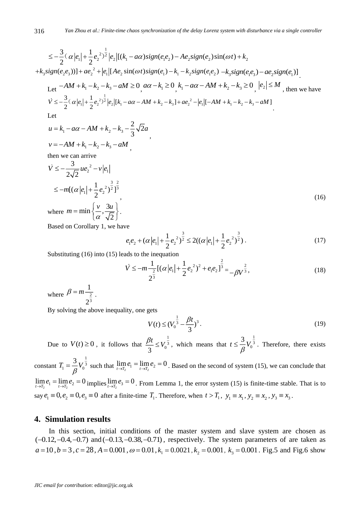$$
a \text{ A16} \qquad \text{Yan Zhou et al.:} \text{ Finite-time chaos synchronization of the delay Lorenz system with disturbance via a single controller}
$$
\n
$$
\leq -\frac{3}{2} \left( \alpha |e_1| + \frac{1}{2} e_2^{2} \right)^{\frac{1}{2}} |e_2| \left[ (k_1 - a\alpha) \text{sign}(e_1 e_2) - A e_2 \text{sign}(e_2) \text{sin}(\omega t) + k_2 \right]
$$
\n
$$
+ k_3 \text{sign}(e_2 e_3) \text{ with } a e_2^{2} + |e_1| \left[ A e_2 \text{ sin}(\omega t) \text{sign}(e_1) - k_1 - k_2 \text{sign}(e_1 e_2) - k_3 \text{sign}(e_1 e_3) - a e_2 \text{sign}(e_1) \right]
$$
\n
$$
\text{Let } -AM + k_1 - k_2 - k_3 - aM \geq 0, \quad a\alpha - k_1 \geq 0, \quad k_1 - a\alpha - AM + k_2 - k_3 \geq 0, \quad |e_2| \leq M, \quad \text{then we have}
$$
\n
$$
\dot{V} \leq -\frac{3}{2} \left( \alpha |e_1| + \frac{1}{2} e_2^{2} \right)^{\frac{1}{2}} |e_2| \left[ k_1 - a\alpha - AM + k_2 - k_3 \right] + a e_2^{2} - |e_1| \left[ -AM + k_1 - k_2 - k_3 - aM \right]
$$
\n
$$
\text{Let }
$$
\n
$$
2 \sqrt{2}
$$

,

$$
u = k_1 - a\alpha - AM + k_2 - k_3 - \frac{2}{3}\sqrt{2}a
$$
  

$$
v = -AM + k_1 - k_2 - k_3 - aM
$$

then we can arrive

316

$$
\dot{V} \le -\frac{3}{2\sqrt{2}}ue_2^2 - v|e_1|
$$
\n
$$
\le -m[(\alpha|e_1| + \frac{1}{2}e_2^2)^{\frac{3}{2}}]_2^{\frac{2}{3}},
$$
\nwhere  $m = \min\left\{\frac{v}{\alpha}, \frac{3u}{\sqrt{2}}\right\}.$  (16)

Based on Corollary 1, we have

$$
e_1e_2 + (\alpha |e_1| + \frac{1}{2}e_2^2)^{\frac{3}{2}} \le 2((\alpha |e_1| + \frac{1}{2}e_2^2)^{\frac{3}{2}}).
$$
 (17)

Substituting (16) into (15) leads to the inequation

$$
\dot{V} \leq -m\frac{1}{2^{\frac{2}{3}}}[(\alpha|e_1| + \frac{1}{2}e_2^2)^2 + e_1e_2]^{\frac{2}{3}} = -\beta V^{\frac{2}{3}},\tag{18}
$$

where  $p = m - \frac{1}{2}$ 3 1 2  $\beta = m - \frac{1}{2}$ .

By solving the above inequality, one gets

$$
V(t) \le (V_0^{\frac{1}{3}} - \frac{\beta t}{3})^3. \tag{19}
$$

Due to  $V(t) \geq 0$ , it follows that 1  $\frac{1}{3} \leq V_0^3$  $\frac{\beta t}{\leq V_0^{\frac{1}{3}}}$ , which means that 1  $\begin{matrix} 3 \\ 0 \end{matrix}$  $t \leq \frac{3}{2}V$  $\beta$  $\leq \frac{3}{5}V_0^3$ . Therefore, there exists

constant 1  $S_1 = -V_0^3$  $T = \frac{3}{2}V$  $=\frac{3}{\beta}V_0^{\frac{1}{3}}$  such that  $\lim_{t\to T_2}e_1=\lim_{t\to T_2}e_2=0$ . Based on the second of system (15), we can conclude that  $\lim_{t\to T_2}e_1 = \lim_{t\to T_2}e_2 = 0$  implies  $\lim_{t\to T_2}e_3 = 0$ . From Lemma 1, the error system (15) is finite-time stable. That is to say  $e_1 \equiv 0, e_2 \equiv 0, e_3 \equiv 0$  after a finite-time  $T_1$ . Therefore, when  $t > T_1$ ,  $y_1 \equiv x_1, y_2 \equiv x_2, y_3 \equiv x_3$ .

### **4. Simulation results**

In this section, initial conditions of the master system and slave system are chosen as  $(-0.12, -0.4, -0.7)$  and  $(-0.13, -0.38, -0.71)$ , respectively. The system parameters of are taken as  $a = 10$ ,  $b = 3$ ,  $c = 28$ ,  $A = 0.001$ ,  $\omega = 0.01$ ,  $k_1 = 0.0021$ ,  $k_2 = 0.001$ ,  $k_3 = 0.001$ . Fig.5 and Fig.6 show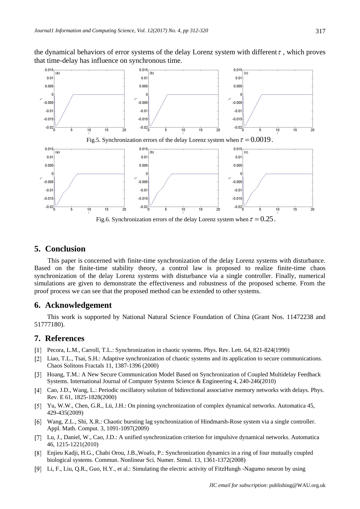the dynamical behaviors of error systems of the delay Lorenz system with different  $\tau$ , which proves that time-delay has influence on synchronous time.



# **5. Conclusion**

This paper is concerned with finite-time synchronization of the delay Lorenz systems with disturbance. Based on the finite-time stability theory, a control law is proposed to realize finite-time chaos synchronization of the delay Lorenz systems with disturbance via a single controller. Finally, numerical simulations are given to demonstrate the effectiveness and robustness of the proposed scheme. From the proof process we can see that the proposed method can be extended to other systems.

### **6. Acknowledgement**

This work is supported by National Natural Science Foundation of China (Grant Nos. 11472238 and 51777180).

# **7. References**

- Pecora, L.M., Carroll, T.L.: Synchronization in chaotic systems. Phys. Rev. Lett. 64, 821-824(1990)
- [2] Liao, T.L., Tsai, S.H.: Adaptive synchronization of chaotic systems and its application to secure communications. Chaos Solitons Fractals 11, 1387-1396 (2000)
- [3] Hoang, T.M.: A New Secure Communication Model Based on Synchronization of Coupled Multidelay Feedback Systems. International Journal of Computer Systems Science & Engineering 4, 240-246(2010)
- Cao, J.D., Wang, L.: Periodic oscillatory solution of bidirectional associative memory networks with delays. Phys. Rev. E 61, 1825-1828(2000)
- Yu, W.W., Chen, G.R., Lü, J.H.: On pinning synchronization of complex dynamical networks. Automatica 45, 429-435(2009)
- Wang, Z.L., Shi, X.R.: Chaotic bursting lag synchronization of Hindmarsh-Rose system via a single controller. Appl. Math. Comput. 3, 1091-1097(2009)
- Lu, J., Daniel, W., Cao, J.D.: A unified synchronization criterion for impulsive dynamical networks. Automatica 46, 1215-1221(2010)
- Enjieu Kadji, H.G., Chabi Orou, J.B.,Woafo, P.: Synchronization dynamics in a ring of four mutually coupled biological systems. Commun. Nonlinear Sci. Numer. Simul. 13, 1361-1372(2008)
- Li, F., Liu, Q.R., Guo, H.Y., et al.: Simulating the electric activity of FitzHungh -Nagumo neuron by using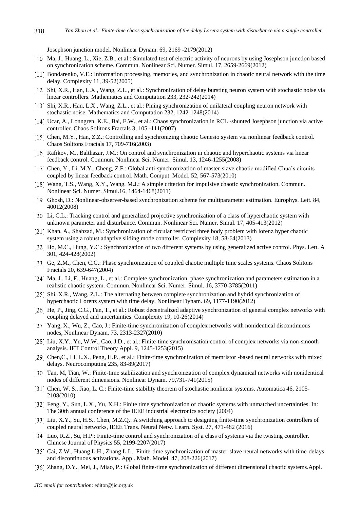Josephson junction model. Nonlinear Dynam. 69, 2169 -2179(2012)

- [10] Ma, J., Huang, L., Xie, Z.B., et al.: Simulated test of electric activity of neurons by using Josephson junction based on synchronization scheme. Commun. Nonlinear Sci. Numer. Simul. 17, 2659-2669(2012)
- [11] Bondarenko, V.E.: Information processing, memories, and synchronization in chaotic neural network with the time delay. Complexity 11, 39-52(2005)
- [12] Shi, X.R., Han, L.X., Wang, Z.L., et al.: Synchronization of delay bursting neuron system with stochastic noise via linear controllers. Mathematics and Computation 233, 232-242(2014)
- [13] Shi, X.R., Han, L.X., Wang, Z.L., et al.: Pining synchronization of unilateral coupling neuron network with stochastic noise. Mathematics and Computation 232, 1242-1248(2014)
- [14] Ucar, A., Lonngren, K.E., Bai, E.W., et al.: Chaos synchronization in RCL -shunted Josephson junction via active controller. Chaos Solitons Fractals 3, 105 -111(2007)
- [15] Chen, M.Y., Han, Z.Z.: Controlling and synchronizing chaotic Genesio system via nonlinear feedback control. Chaos Solitons Fractals 17, 709-716(2003)
- [16] Rafikov, M., Balthazar, J.M.: On control and synchronization in chaotic and hyperchaotic systems via linear feedback control. Commun. Nonlinear Sci. Numer. Simul. 13, 1246-1255(2008)
- [17] Chen, Y., Li, M.Y., Cheng, Z.F.: Global anti-synchronization of master-slave chaotic modified Chua's circuits coupled by linear feedback control. Math. Comput. Model. 52, 567-573(2010)
- [18] Wang, T.S., Wang, X.Y., Wang, M.J.: A simple criterion for impulsive chaotic synchronization. Commun. Nonlinear Sci. Numer. Simul.16, 1464-1468(2011)
- [19] Ghosh, D.: Nonlinear-observer-based synchronization scheme for multiparameter estimation. Europhys. Lett. 84, 40012(2008)
- [20] Li, C.L.: Tracking control and generalized projective synchronization of a class of hyperchaotic system with unknown parameter and disturbance. Commun. Nonlinear Sci. Numer. Simul. 17, 405-413(2012)
- [21] Khan, A., Shahzad, M.: Synchronization of circular restricted three body problem with lorenz hyper chaotic system using a robust adaptive sliding mode controller. Complexity 18, 58-64(2013)
- [22] Ho, M.C., Hung, Y.C.: Synchronization of two different systems by using generalized active control. Phys. Lett. A 301, 424-428(2002)
- [23] Ge, Z.M., Chen, C.C.: Phase synchronization of coupled chaotic multiple time scales systems. Chaos Solitons Fractals 20, 639-647(2004)
- [24] Ma, J., Li, F., Huang, L., et al.: Complete synchronization, phase synchronization and parameters estimation in a realistic chaotic system. Commun. Nonlinear Sci. Numer. Simul. 16, 3770-3785(2011)
- [25] Shi, X.R., Wang, Z.L.: The alternating between complete synchronization and hybrid synchronization of hyperchaotic Lorenz system with time delay. Nonlinear Dynam. 69, 1177-1190(2012)
- [26] He, P., Jing, C.G., Fan, T., et al.: Robust decentralized adaptive synchronization of general complex networks with coupling delayed and uncertainties. Complexity 19, 10-26(2014)
- [27] Yang, X., Wu, Z., Cao, J.: Finite-time synchronization of complex networks with nonidentical discontinuous nodes, Nonlinear Dynam. 73, 2313-2327(2010)
- [28] Liu, X.Y., Yu, W.W., Cao, J.D., et al.: Finite-time synchronisation control of complex networks via non-smooth analysis. IET Control Theory Appl. 9, 1245-1253(2015)
- [29] Chen, C., Li, L.X., Peng, H.P., et al.: Finite-time synchronization of memristor -based neural networks with mixed delays. Neurocomputing 235, 83-89(2017)
- [30] Tan, M, Tian, W.: Finite-time stabilization and synchronization of complex dynamical networks with nonidentical nodes of different dimensions. Nonlinear Dynam. 79,731-741(2015)
- [31] Chen, W. S., Jiao, L. C.: Finite-time stability theorem of stochastic nonlinear systems. Automatica 46, 2105-2108(2010)
- Feng, Y., Sun, L.X., Yu, X.H.: Finite time synchronization of chaotic systems with unmatched uncertainties. In: The 30th annual conference of the IEEE industrial electronics society (2004)
- [33] Liu, X.Y., Su, H.S., Chen, M.Z.Q.: A switching approach to designing finite-time synchronization controllers of coupled neural networks, IEEE Trans. Neural Netw. Learn. Syst. 27, 471-482 (2016)
- [34] Luo, R.Z., Su, H.P.: Finite-time control and synchronization of a class of systems via the twisting controller. Chinese Journal of Physics 55, 2199-2207(2017)
- [35] Cai, Z.W., Huang L.H., Zhang L.L.: Finite-time synchronization of master-slave neural networks with time-delays and discontinuous activations. Appl. Math. Model. 47, 208-226(2017)
- [36] Zhang, D.Y., Mei, J., Miao, P.: Global finite-time synchronization of different dimensional chaotic systems.Appl.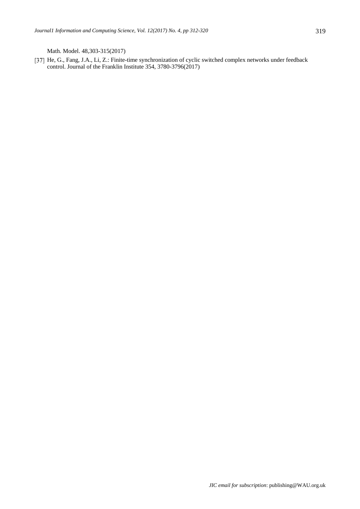Math. Model. 48,303-315(2017)

[37] He, G., Fang, J.A., Li, Z.: Finite-time synchronization of cyclic switched complex networks under feedback control. Journal of the Franklin Institute 354, 3780-3796(2017)